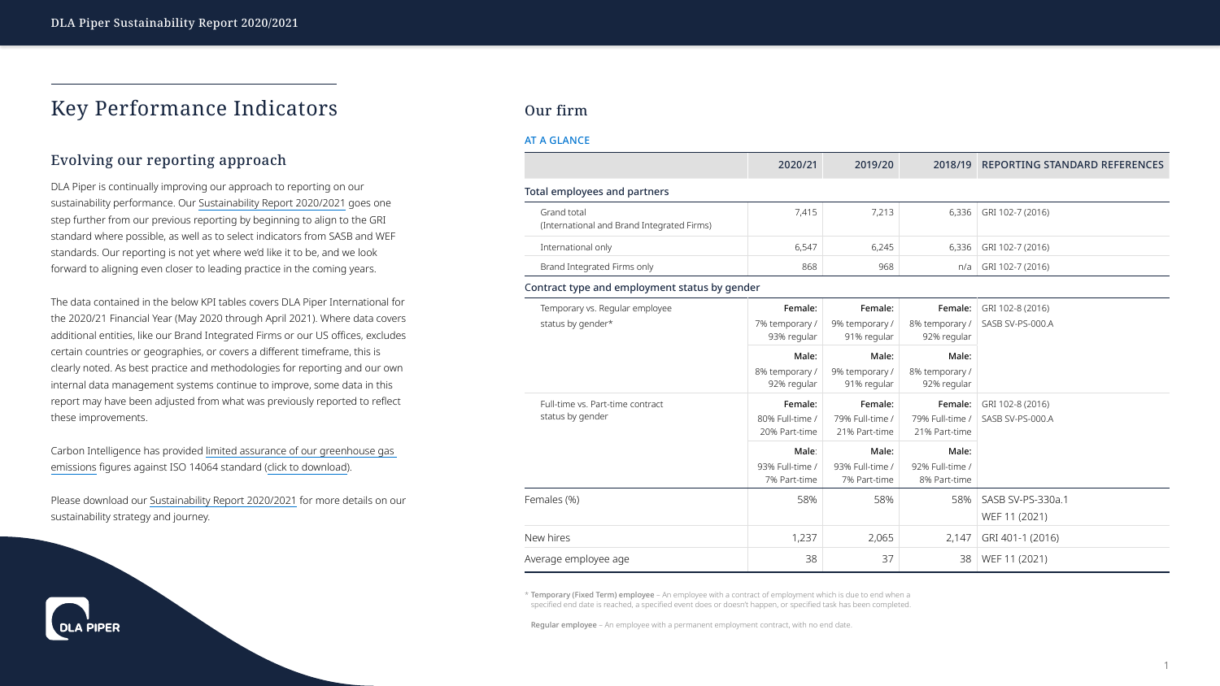# Key Performance Indicators

## Evolving our reporting approach

DLA Piper is continually improving our approach to reporting on our sustainability performance. Our [Sustainability Report 2020/2021](http://www.dlapiper.com/focus/sustainability-report-2021/introduction/) goes one step further from our previous reporting by beginning to align to the GRI standard where possible, as well as to select indicators from SASB and WEF standards. Our reporting is not yet where we'd like it to be, and we look forward to aligning even closer to leading practice in the coming years.

The data contained in the below KPI tables covers DLA Piper International for the 2020/21 Financial Year (May 2020 through April 2021). Where data covers additional entities, like our Brand Integrated Firms or our US offices, excludes certain countries or geographies, or covers a different timeframe, this is clearly noted. As best practice and methodologies for reporting and our own internal data management systems continue to improve, some data in this report may have been adjusted from what was previously reported to reflect these improvements.

Carbon Intelligence has provided [limited assurance of our greenhouse gas](https://www.dlapiper.com/~/media/files/other/2021/dla-piper-carbon-intelligence-verification-statement-20-21.pdf)  [emissions](https://www.dlapiper.com/~/media/files/other/2021/dla-piper-carbon-intelligence-verification-statement-20-21.pdf) figures against ISO 14064 standard ([click to download\)](https://www.dlapiper.com/~/media/files/other/2021/dla-piper-carbon-intelligence-verification-statement-20-21.pdf).

Please download our [Sustainability Report 2020/2021](http://www.dlapiper.com/focus/sustainability-report-2021/introduction/) for more details on our sustainability strategy and journey.

## Our firm

#### AT A GLANCE

\* Temporary (Fixed Term) employee – An employee with a contract of employment which is due to end when a specified end date is reached, a specified event does or doesn't happen, or specified task has been completed.

|                                                           | 2020/21                                     | 2019/20                                     | 2018/19                                     | <b>REPORTING STANDARD REFERENCES</b> |
|-----------------------------------------------------------|---------------------------------------------|---------------------------------------------|---------------------------------------------|--------------------------------------|
| <b>Total employees and partners</b>                       |                                             |                                             |                                             |                                      |
| Grand total<br>(International and Brand Integrated Firms) | 7,415                                       | 7,213                                       | 6,336                                       | GRI 102-7 (2016)                     |
| International only                                        | 6,547                                       | 6,245                                       | 6,336                                       | GRI 102-7 (2016)                     |
| Brand Integrated Firms only                               | 868                                         | 968                                         | n/a                                         | GRI 102-7 (2016)                     |
| Contract type and employment status by gender             |                                             |                                             |                                             |                                      |
| Temporary vs. Regular employee                            | Female:                                     | Female:                                     | Female:                                     | GRI 102-8 (2016)                     |
| status by gender*                                         | 7% temporary /<br>93% regular               | 9% temporary /<br>91% regular               | 8% temporary /<br>92% regular               | SASB SV-PS-000.A                     |
|                                                           | Male:<br>8% temporary /<br>92% regular      | Male:<br>9% temporary /<br>91% regular      | Male:<br>8% temporary /<br>92% regular      |                                      |
| Full-time vs. Part-time contract<br>status by gender      | Female:<br>80% Full-time /<br>20% Part-time | Female:<br>79% Full-time /<br>21% Part-time | Female:<br>79% Full-time /<br>21% Part-time | GRI 102-8 (2016)<br>SASB SV-PS-000.A |
|                                                           | Male:<br>93% Full-time /<br>7% Part-time    | Male:<br>93% Full-time /<br>7% Part-time    | Male:<br>92% Full-time /<br>8% Part-time    |                                      |
| Females (%)                                               | 58%                                         | 58%                                         | 58%                                         | SASB SV-PS-330a.1<br>WEF 11 (2021)   |
| New hires                                                 | 1,237                                       | 2,065                                       | 2,147                                       | GRI 401-1 (2016)                     |
| Average employee age                                      | 38                                          | 37                                          | 38                                          | WEF 11 (2021)                        |



Regular employee – An employee with a permanent employment contract, with no end date.

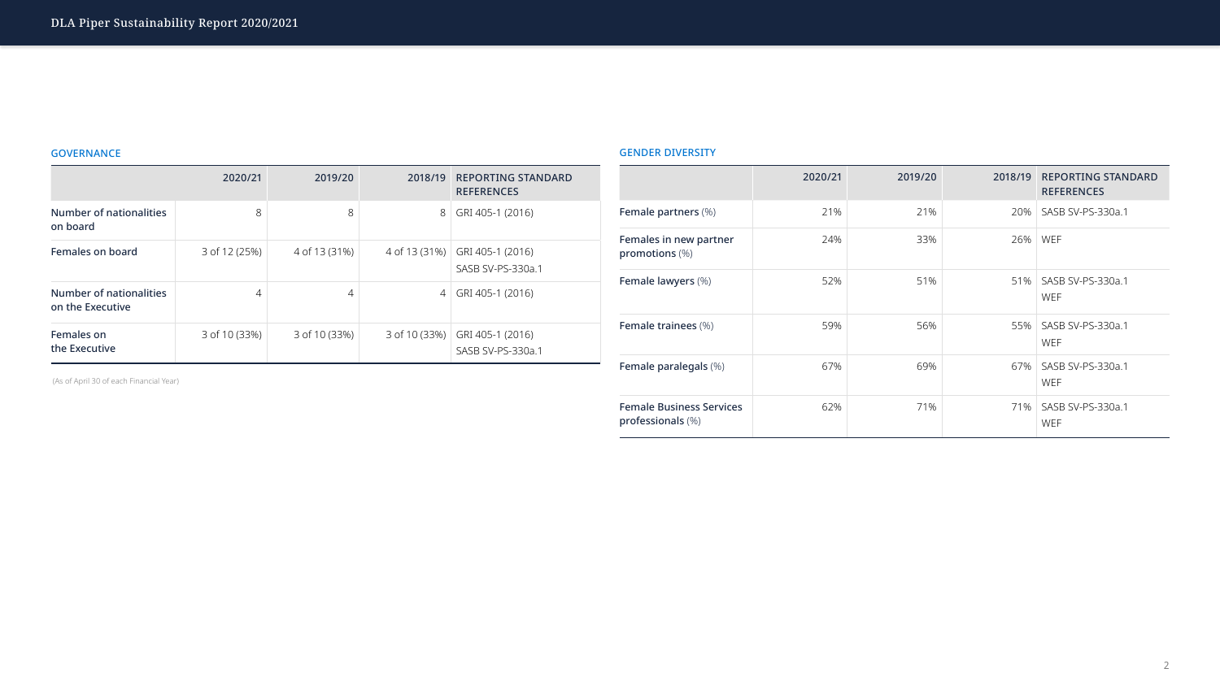### GOVERNANCE

|                                             | 2020/21       | 2019/20        | 2018/19        | <b>REPORTING STANDARD</b><br><b>REFERENCES</b> |
|---------------------------------------------|---------------|----------------|----------------|------------------------------------------------|
| <b>Number of nationalities</b><br>on board  | 8             | 8              | 8              | GRI 405-1 (2016)                               |
| Females on board                            | 3 of 12 (25%) | 4 of 13 (31%)  | 4 of 13 (31%)  | GRI 405-1 (2016)<br>SASB SV-PS-330a.1          |
| Number of nationalities<br>on the Executive | 4             | $\overline{4}$ | $\overline{4}$ | GRI 405-1 (2016)                               |
| Females on<br>the Executive                 | 3 of 10 (33%) | 3 of 10 (33%)  | 3 of 10 (33%)  | GRI 405-1 (2016)<br>SASB SV-PS-330a.1          |

### GENDER DIVERSITY

|                                                         | 2020/21 | 2019/20 | 2018/19 | <b>REPORTING STANDARD</b><br><b>REFERENCES</b> |
|---------------------------------------------------------|---------|---------|---------|------------------------------------------------|
| <b>Female partners (%)</b>                              | 21%     | 21%     | 20%     | SASB SV-PS-330a.1                              |
| Females in new partner<br>promotions (%)                | 24%     | 33%     | 26%     | <b>WEF</b>                                     |
| Female lawyers (%)                                      | 52%     | 51%     | 51%     | SASB SV-PS-330a.1<br><b>WEF</b>                |
| <b>Female trainees</b> (%)                              | 59%     | 56%     |         | 55%   SASB SV-PS-330a.1<br><b>WEF</b>          |
| Female paralegals (%)                                   | 67%     | 69%     | 67%     | SASB SV-PS-330a.1<br><b>WEF</b>                |
| <b>Female Business Services</b><br>professionals $(\%)$ | 62%     | 71%     |         | 71%   SASB SV-PS-330a.1<br><b>WEF</b>          |



(As of April 30 of each Financial Year)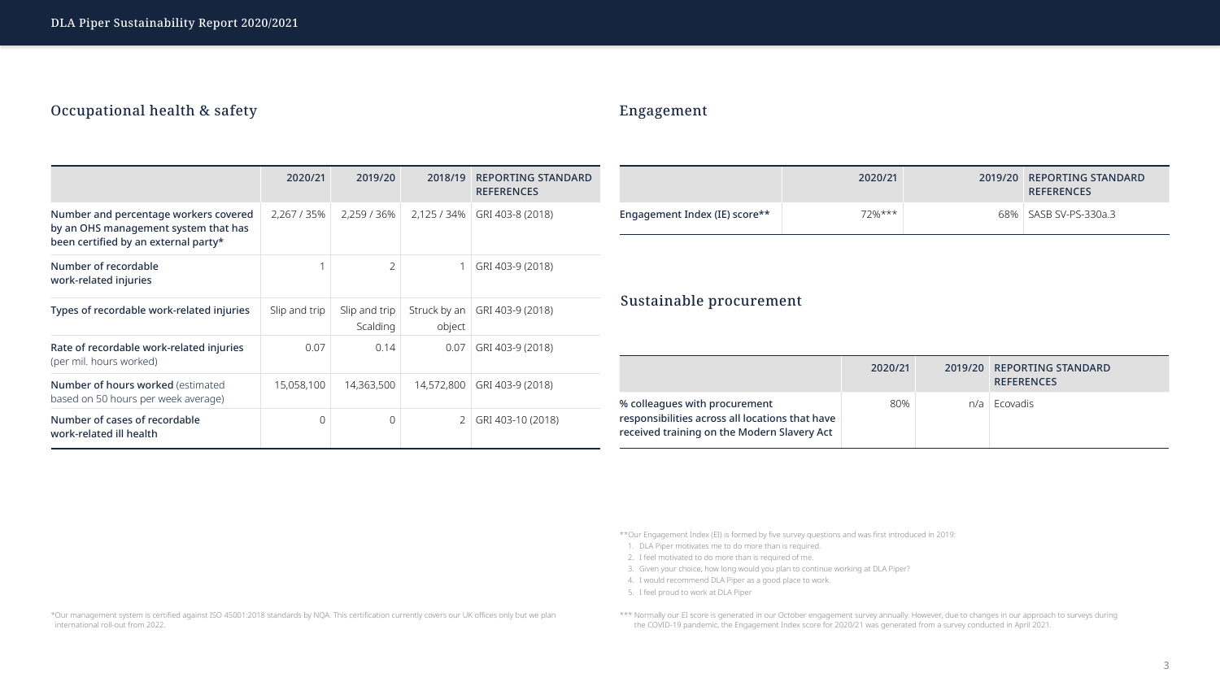## Occupational health & safety

## Engagement

\*\*Our Engagement Index (EI) is formed by five survey questions and was first introduced in 2019:

|                                                                                                 | 2020/21        | 2019/20                   | 2018/19 | <b>REPORTING STANDARD</b><br><b>REFERENCES</b> |                                                                                                                                 | 2020/21 | 2019/20 | <b>REPORTING STANDARD</b><br><b>REFERENCES</b> |  |  |
|-------------------------------------------------------------------------------------------------|----------------|---------------------------|---------|------------------------------------------------|---------------------------------------------------------------------------------------------------------------------------------|---------|---------|------------------------------------------------|--|--|
| Number and percentage workers covered<br>by an OHS management system that has                   | 2,267 / 35%    | 2,259 / 36%               |         | 2,125 / 34%   GRI 403-8 (2018)                 | Engagement Index (IE) score**                                                                                                   | 72%***  |         | SASB SV-PS-330a.3<br>68%                       |  |  |
| been certified by an external party*<br>Number of recordable<br>work-related injuries           |                | $\overline{2}$            |         | GRI 403-9 (2018)                               |                                                                                                                                 |         |         |                                                |  |  |
| Types of recordable work-related injuries                                                       | Slip and trip  | Slip and trip<br>Scalding | object  | Struck by an $\vert$ GRI 403-9 (2018)          | Sustainable procurement                                                                                                         |         |         |                                                |  |  |
| Rate of recordable work-related injuries<br>(per mil. hours worked)                             | 0.07           | 0.14                      | 0.07    | GRI 403-9 (2018)                               | 2020/21<br>2019/20<br><b>REPORTING STANDARD</b>                                                                                 |         |         |                                                |  |  |
| Number of hours worked (estimated                                                               | 15,058,100     | 14,363,500                |         | 14,572,800 GRI 403-9 (2018)                    |                                                                                                                                 |         |         | <b>REFERENCES</b>                              |  |  |
| based on 50 hours per week average)<br>Number of cases of recordable<br>work-related ill health | $\overline{0}$ |                           |         | 2 GRI 403-10 (2018)                            | % colleagues with procurement<br>responsibilities across all locations that have<br>received training on the Modern Slavery Act | 80%     | n/a     | Ecovadis                                       |  |  |

- 1. DLA Piper motivates me to do more than is required.
- 2. I feel motivated to do more than is required of me.
- 3. Given your choice, how long would you plan to continue working at DLA Piper?
- 4. I would recommend DLA Piper as a good place to work.
- 5. I feel proud to work at DLA Piper

\*\*\* Normally our EI score is generated in our October engagement survey annually. However, due to changes in our approach to surveys during the COVID-19 pandemic, the Engagement Index score for 2020/21 was generated from a survey conducted in April 2021.

\*Our management system is certified against ISO 45001:2018 standards by NQA. This certification currently covers our UK offices only but we plan international roll-out from 2022.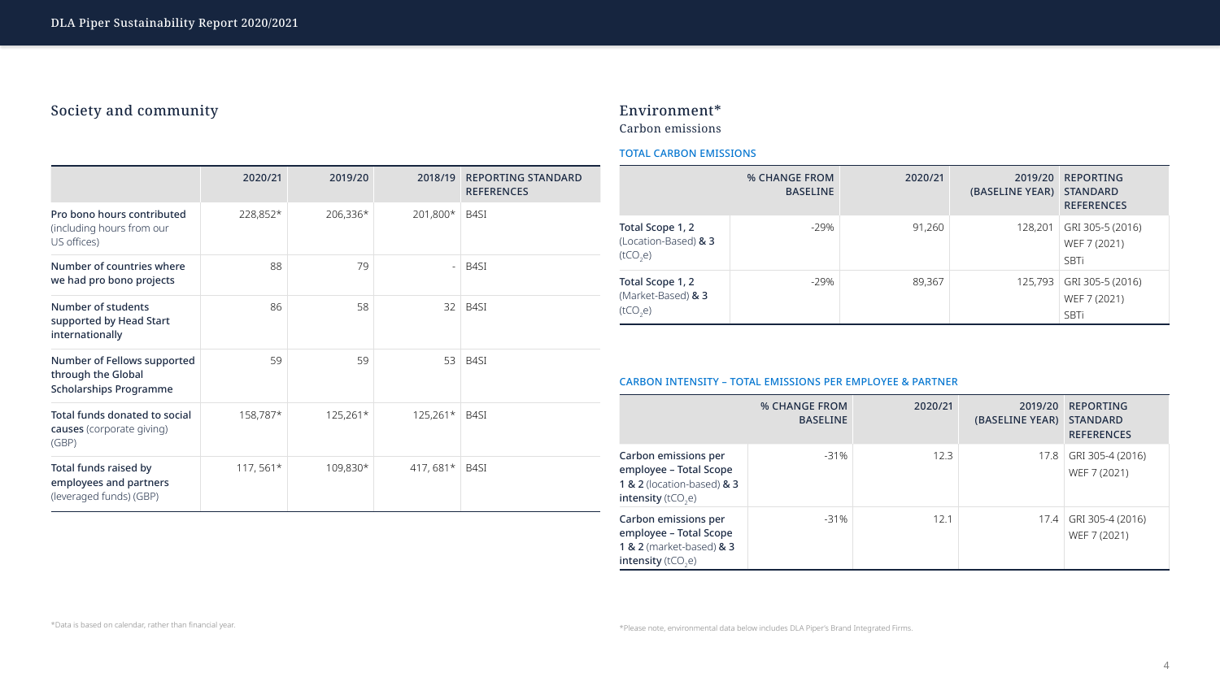## Society and community

\*Data is based on calendar, rather than financial year.

## Environment\*

Carbon emissions

\*Please note, environmental data below includes DLA Piper's Brand Integrated Firms.



|                                                                                    | 2020/21    | 2019/20    | <b>REPORTING STANDARD</b><br>2018/19<br><b>REFERENCES</b> |                                                                                                                                          | <b>% CHANGE FROM</b><br><b>BASELINE</b> |         | 2019/20<br>(BASELINE YEAR) | <b>REPORTING</b><br><b>STANDARD</b><br><b>REFERENCES</b> |
|------------------------------------------------------------------------------------|------------|------------|-----------------------------------------------------------|------------------------------------------------------------------------------------------------------------------------------------------|-----------------------------------------|---------|----------------------------|----------------------------------------------------------|
| Pro bono hours contributed<br>(including hours from our<br>US offices)             | 228,852*   | $206,336*$ | 201,800*<br>$ $ B4SI                                      | Total Scope 1, 2<br>(Location-Based) & 3                                                                                                 | $-29%$                                  | 91,260  | 128,201                    | GRI 305-5 (2016)<br>WEF 7 (2021)                         |
| Number of countries where<br>we had pro bono projects                              | 88         | 79         | $-$ B4SI                                                  | (tCO <sub>2</sub> e)<br>Total Scope 1, 2                                                                                                 | $-29%$                                  | 89,367  | 125,793                    | SBTi<br>GRI 305-5 (2016)                                 |
| Number of students<br>supported by Head Start<br>internationally                   | 86         | 58         | $32$ B4SI                                                 | (Market-Based) $\& 3$<br>(tCO <sub>2</sub> e)                                                                                            |                                         |         |                            | WEF 7 (2021)<br>SBTi                                     |
| Number of Fellows supported<br>through the Global<br><b>Scholarships Programme</b> | 59         | 59         | $53$ B4SI                                                 | <b>CARBON INTENSITY - TOTAL EMISSIONS PER EMPLOYEE &amp; PARTNER</b>                                                                     |                                         |         |                            |                                                          |
| <b>Total funds donated to social</b><br><b>causes</b> (corporate giving)<br>(GBP)  | 158,787*   | $125,261*$ | $125,261*$ B4SI                                           |                                                                                                                                          | <b>% CHANGE FROM</b><br><b>BASELINE</b> | 2020/21 | 2019/20<br>(BASELINE YEAR) | <b>REPORTING</b><br><b>STANDARD</b><br><b>REFERENCES</b> |
| Total funds raised by<br>employees and partners<br>(leveraged funds) (GBP)         | $117,561*$ | 109,830*   | 417, 681*   B4SI                                          | Carbon emissions per<br>employee – Total Scope<br><b>1 &amp; 2</b> (location-based) & 3<br><b>intensity</b> ( $tCO$ <sub>2</sub> e)      | $-31\%$                                 | 12.3    | 17.8                       | GRI 305-4 (2016)<br>WEF 7 (2021)                         |
|                                                                                    |            |            |                                                           | <b>Carbon emissions per</b><br>employee - Total Scope<br><b>1 &amp; 2</b> (market-based) & 3<br><b>intensity</b> ( $tCO$ <sub>2</sub> e) | $-31%$                                  | 12.1    |                            | 17.4 GRI 305-4 (2016)<br>WEF 7 (2021)                    |

## TOTAL CARBON EMISSIONS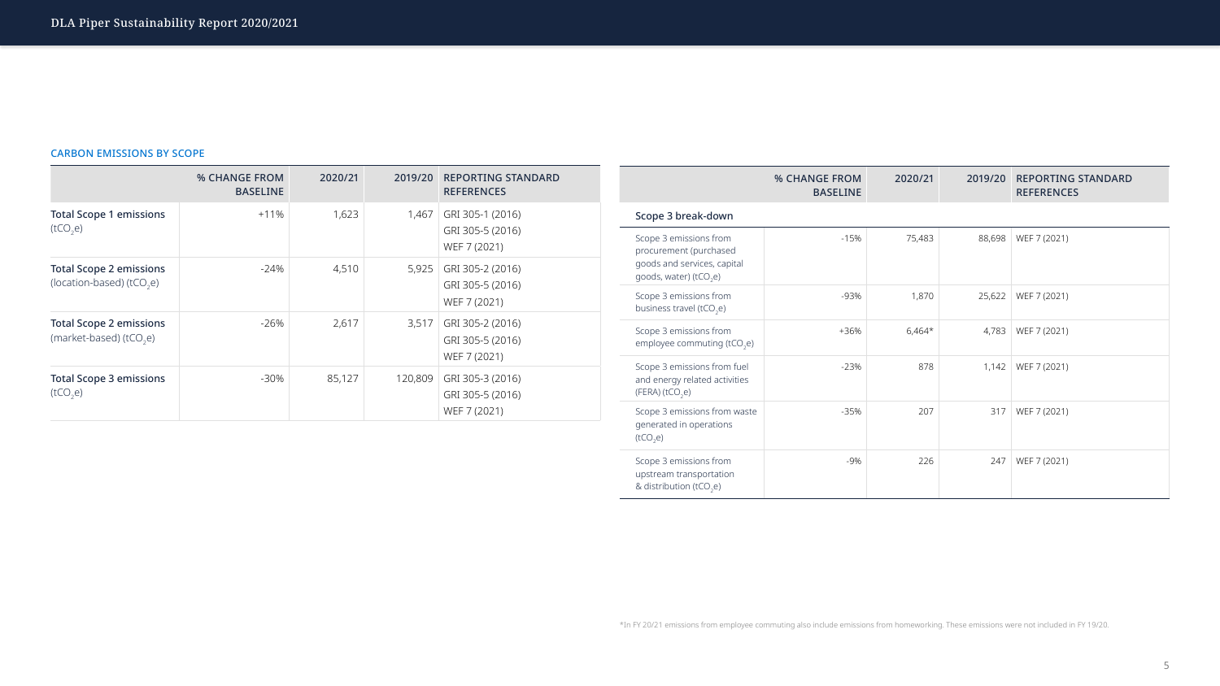### CARBON EMISSIONS BY SCOPE

|                                                                | <b>% CHANGE FROM</b><br><b>BASELINE</b> | 2020/21 | 2019/20 | <b>REPORTING STANDARD</b><br><b>REFERENCES</b>       |
|----------------------------------------------------------------|-----------------------------------------|---------|---------|------------------------------------------------------|
| <b>Total Scope 1 emissions</b><br>(tCO <sub>2</sub> e)         | $+11\%$                                 | 1,623   | 1,467   | GRI 305-1 (2016)<br>GRI 305-5 (2016)<br>WEF 7 (2021) |
| <b>Total Scope 2 emissions</b><br>(location-based) ( $tCO2e$ ) | $-24\%$                                 | 4,510   | 5,925   | GRI 305-2 (2016)<br>GRI 305-5 (2016)<br>WEF 7 (2021) |
| <b>Total Scope 2 emissions</b><br>(market-based) ( $tCO2e$ )   | $-26%$                                  | 2,617   | 3,517   | GRI 305-2 (2016)<br>GRI 305-5 (2016)<br>WEF 7 (2021) |
| <b>Total Scope 3 emissions</b><br>(tCO <sub>2</sub> e)         | $-30\%$                                 | 85,127  | 120,809 | GRI 305-3 (2016)<br>GRI 305-5 (2016)<br>WEF 7 (2021) |

|                                                                                                                       | <b>% CHANGE FROM</b><br><b>BASELINE</b> | 2020/21  | 2019/20 | <b>REPORTING STANDARD</b><br><b>REFERENCES</b> |
|-----------------------------------------------------------------------------------------------------------------------|-----------------------------------------|----------|---------|------------------------------------------------|
| Scope 3 break-down                                                                                                    |                                         |          |         |                                                |
| Scope 3 emissions from<br>procurement (purchased<br>goods and services, capital<br>goods, water) (tCO <sub>2</sub> e) | $-15%$                                  | 75,483   | 88,698  | WEF 7 (2021)                                   |
| Scope 3 emissions from<br>business travel (tCO <sub>2</sub> e)                                                        | -93%                                    | 1,870    | 25,622  | WEF 7 (2021)                                   |
| Scope 3 emissions from<br>employee commuting (tCO <sub>2</sub> e)                                                     | +36%                                    | $6,464*$ | 4,783   | WEF 7 (2021)                                   |
| Scope 3 emissions from fuel<br>and energy related activities<br>(FERA)(tCO <sub>2</sub> e)                            | $-23%$                                  | 878      | 1,142   | WEF 7 (2021)                                   |
| Scope 3 emissions from waste<br>generated in operations<br>(tCO <sub>2</sub> e)                                       | $-35%$                                  | 207      | 317     | WEF 7 (2021)                                   |
| Scope 3 emissions from<br>upstream transportation<br>& distribution ( $tCO2e$ )                                       | $-9\%$                                  | 226      | 247     | WEF 7 (2021)                                   |

\*In FY 20/21 emissions from employee commuting also include emissions from homeworking. These emissions were not included in FY 19/20.